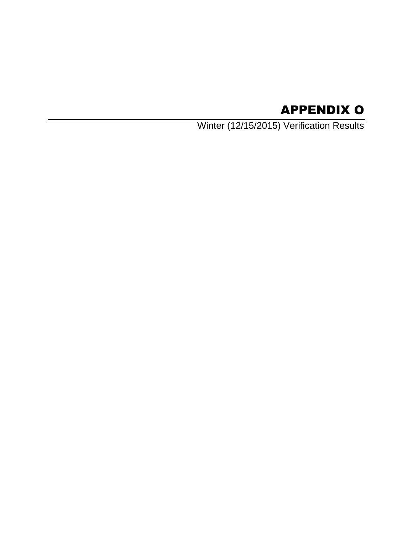# APPENDIX O

Winter (12/15/2015) Verification Results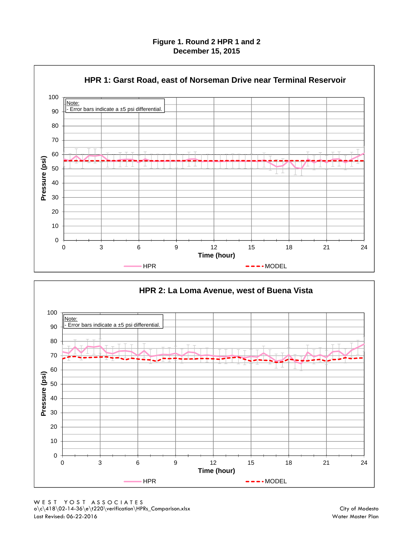**Figure 1. Round 2 HPR 1 and 2 December 15, 2015**



0 10 20 30 40 50 60 70 80 90 100 0 3 6 9 12 15 18 21 24 **Pressure (psi) Time (hour) HPR 2: La Loma Avenue, west of Buena Vista** HPR MODEL Note: **Error bars indicate a ±5 psi differential.**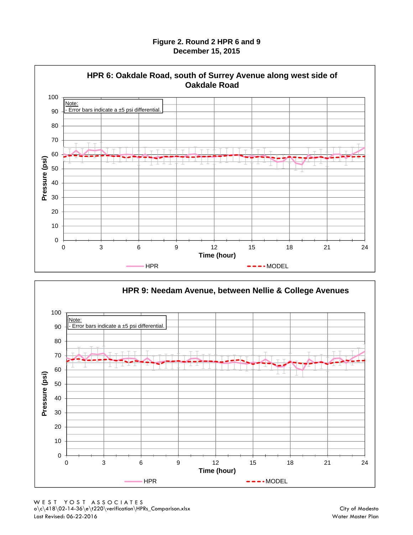#### **Figure 2. Round 2 HPR 6 and 9 December 15, 2015**



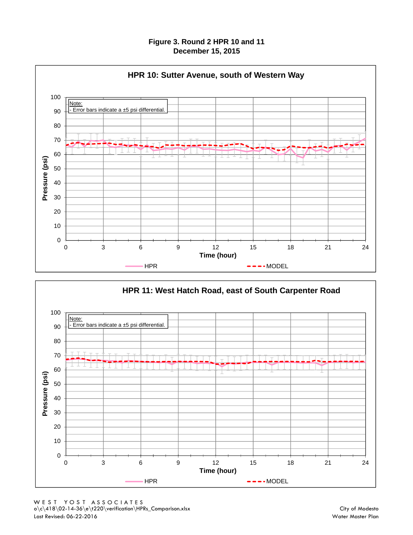#### **Figure 3. Round 2 HPR 10 and 11 December 15, 2015**



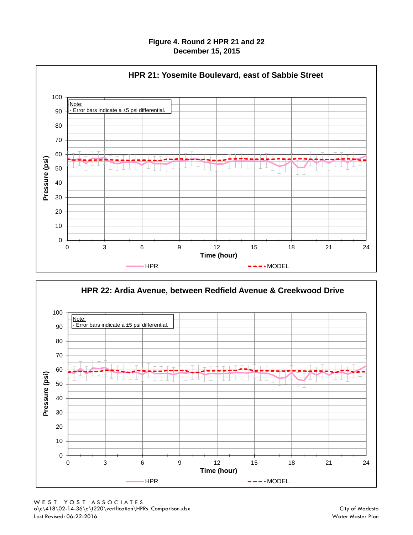#### **Figure 4. Round 2 HPR 21 and 22 December 15, 2015**



**HPR 22: Ardia Avenue, between Redfield Avenue & Creekwood Drive**

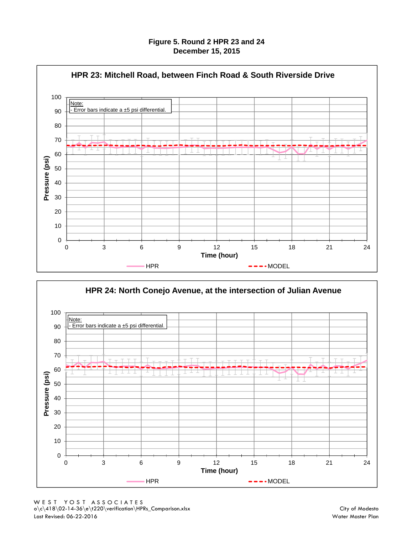**Figure 5. Round 2 HPR 23 and 24 December 15, 2015**



0 10 20 30 40 50 60 70 80 90 100 0 3 6 9 12 15 18 21 24 **Pressure (psi) Time (hour) HPR 24: North Conejo Avenue, at the intersection of Julian Avenue** HPR MODEL Note: - Error bars indicate a ±5 psi differential.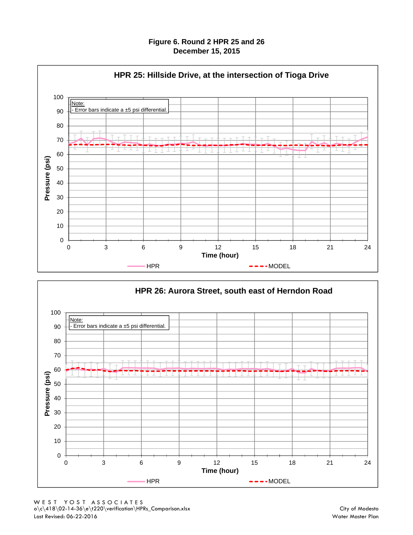#### **Figure 6. Round 2 HPR 25 and 26 December 15, 2015**



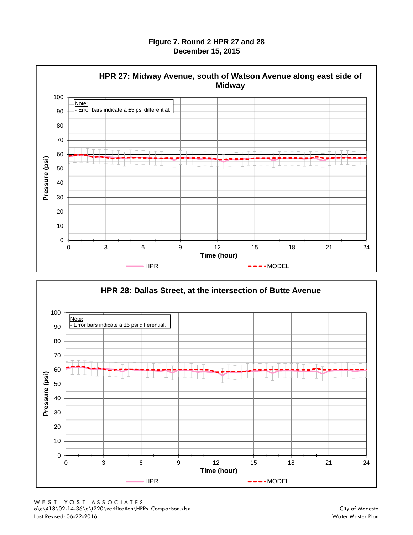**Figure 7. Round 2 HPR 27 and 28 December 15, 2015**



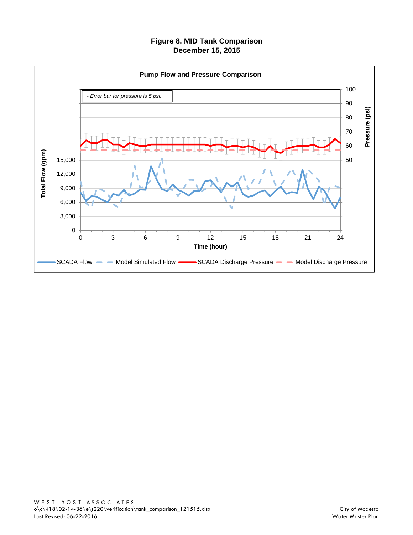# **Figure 8. MID Tank Comparison December 15, 2015**

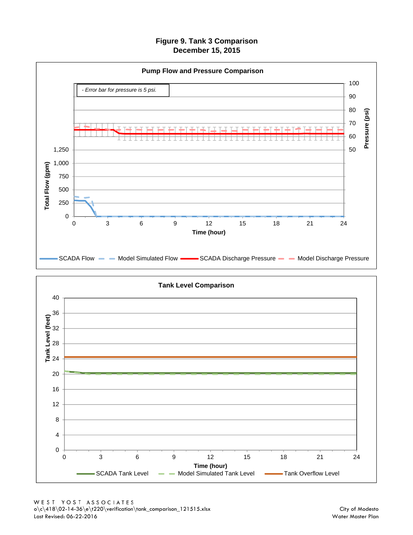**Figure 9. Tank 3 Comparison December 15, 2015**



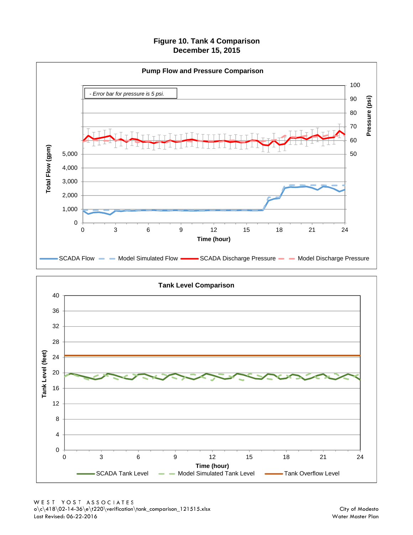## **Figure 10. Tank 4 Comparison December 15, 2015**



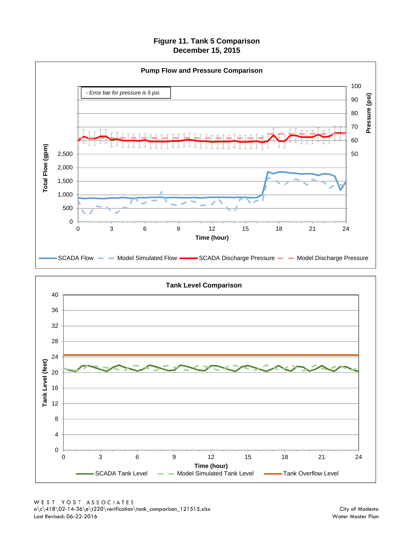**Figure 11. Tank 5 Comparison December 15, 2015**



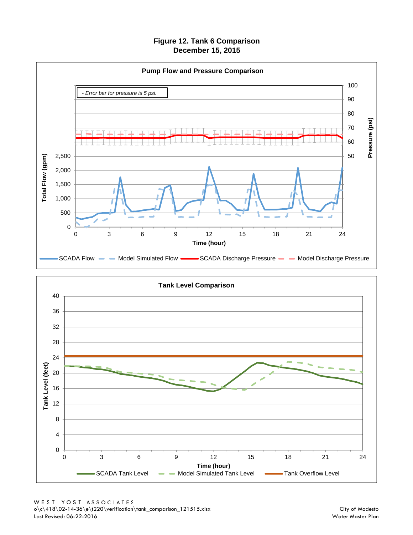**Figure 12. Tank 6 Comparison December 15, 2015**



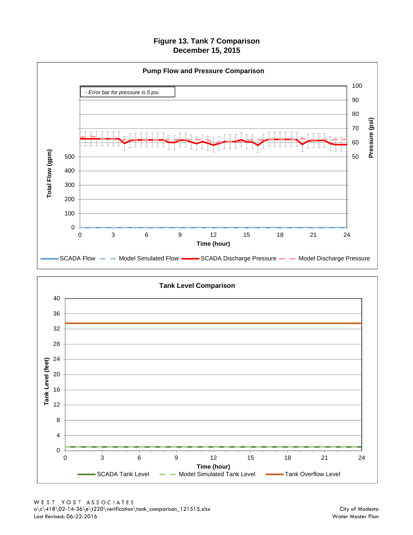## **Figure 13. Tank 7 Comparison December 15, 2015**



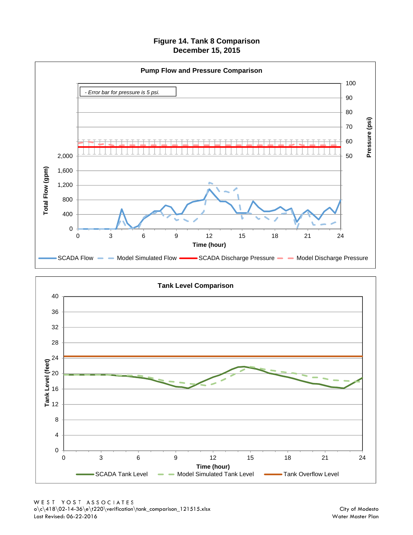### **Figure 14. Tank 8 Comparison December 15, 2015**



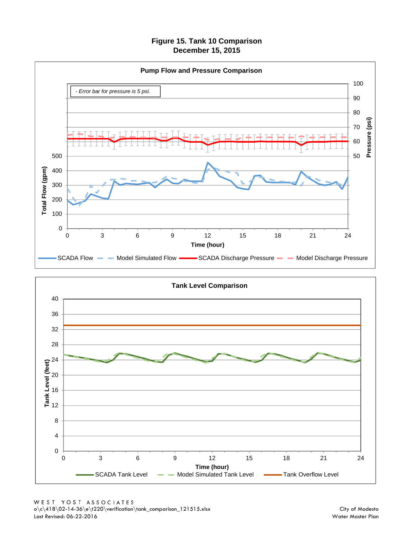## **Figure 15. Tank 10 Comparison December 15, 2015**





WEST YOST ASSOCIATES<br>  $o\c\418\02-14-36\e\t220\verification\tank\_comparison_121515.xlsx$ Last Revised: 06-22-2016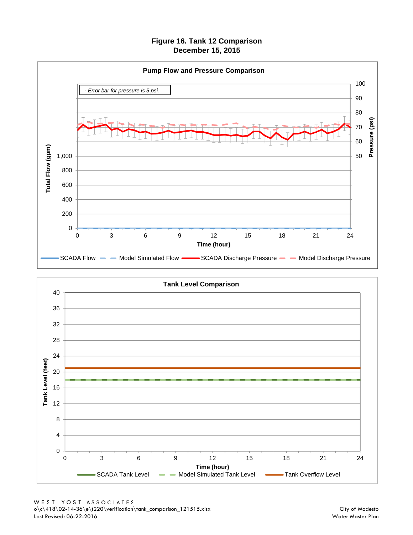**Figure 16. Tank 12 Comparison December 15, 2015**



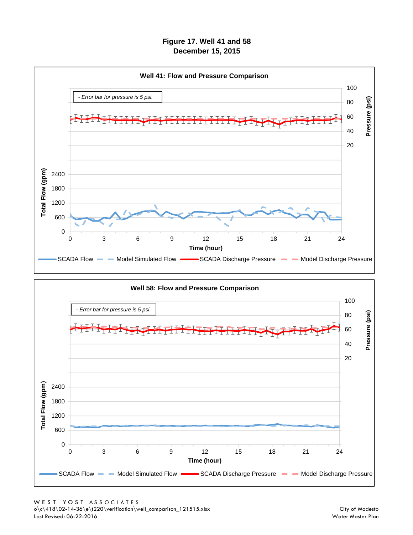# **Figure 17. Well 41 and 58 December 15, 2015**



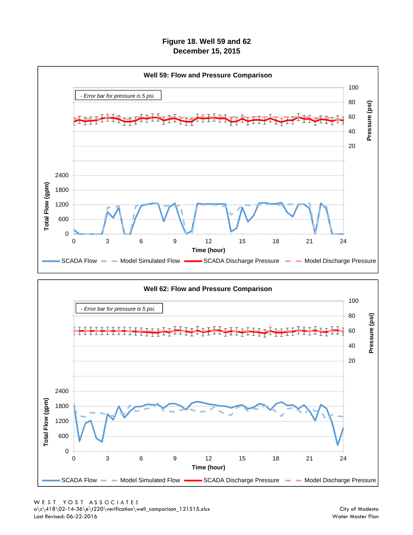**Figure 18. Well 59 and 62 December 15, 2015**



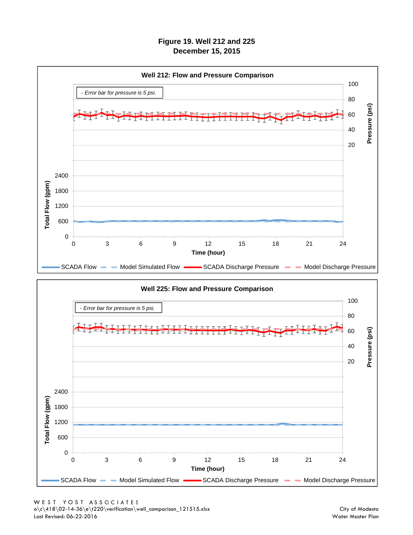# **Figure 19. Well 212 and 225 December 15, 2015**



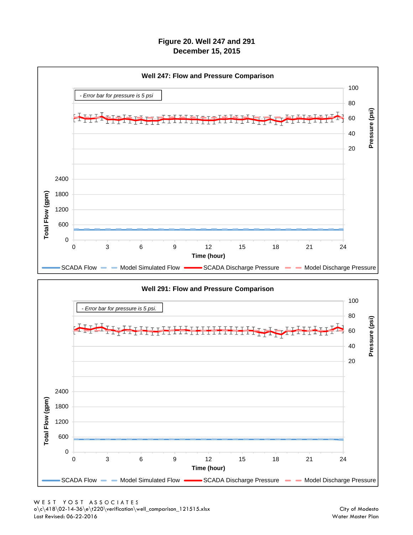# **Figure 20. Well 247 and 291 December 15, 2015**



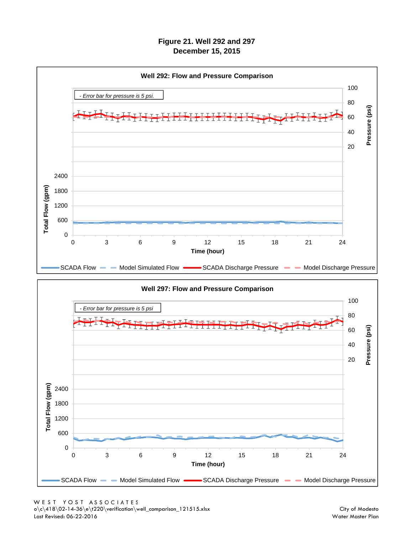# **Figure 21. Well 292 and 297 December 15, 2015**